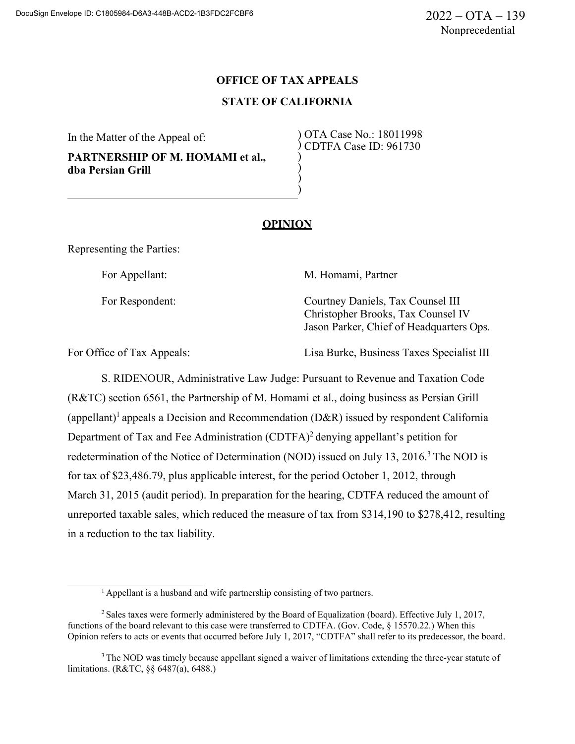# **OFFICE OF TAX APPEALS STATE OF CALIFORNIA**

In the Matter of the Appeal of:

**PARTNERSHIP OF M. HOMAMI et al., dba Persian Grill**

) OTA Case No.: 18011998 ) CDTFA Case ID: 961730 )

### **OPINION**

) ) )

Representing the Parties:

For Appellant: M. Homami, Partner

For Respondent: Courtney Daniels, Tax Counsel III Christopher Brooks, Tax Counsel IV Jason Parker, Chief of Headquarters Ops.

For Office of Tax Appeals: Lisa Burke, Business Taxes Specialist III

S. RIDENOUR, Administrative Law Judge: Pursuant to Revenue and Taxation Code (R&TC) section 6561, the Partnership of M. Homami et al., doing business as Persian Grill (appellant)<sup>1</sup> appeals a Decision and Recommendation (D&R) issued by respondent California Department of Tax and Fee Administration  $(CDTFA)^2$  denying appellant's petition for redetermination of the Notice of Determination (NOD) issued on July 13,  $2016<sup>3</sup>$  The NOD is for tax of \$23,486.79, plus applicable interest, for the period October 1, 2012, through March 31, 2015 (audit period). In preparation for the hearing, CDTFA reduced the amount of unreported taxable sales, which reduced the measure of tax from \$314,190 to \$278,412, resulting in a reduction to the tax liability.

 $<sup>1</sup>$  Appellant is a husband and wife partnership consisting of two partners.</sup>

<sup>2</sup> Sales taxes were formerly administered by the Board of Equalization (board). Effective July 1, 2017, functions of the board relevant to this case were transferred to CDTFA. (Gov. Code, § 15570.22.) When this Opinion refers to acts or events that occurred before July 1, 2017, "CDTFA" shall refer to its predecessor, the board.

<sup>&</sup>lt;sup>3</sup> The NOD was timely because appellant signed a waiver of limitations extending the three-year statute of limitations. (R&TC, §§ 6487(a), 6488.)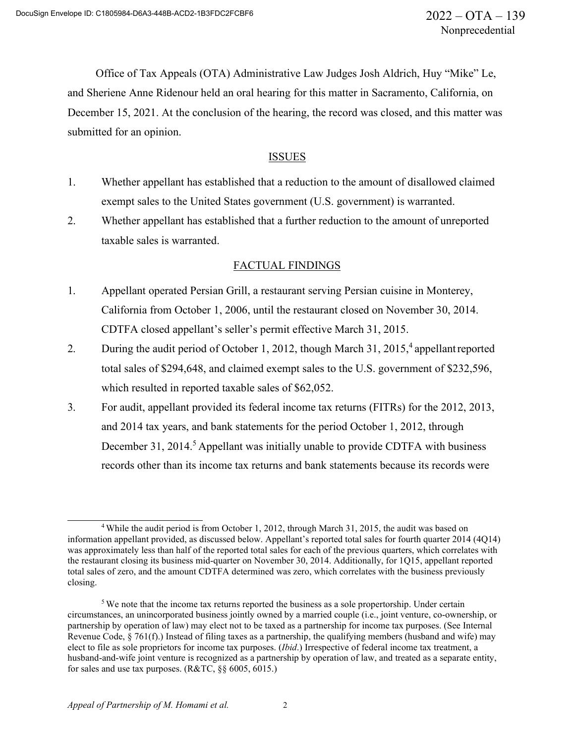Office of Tax Appeals (OTA) Administrative Law Judges Josh Aldrich, Huy "Mike" Le, and Sheriene Anne Ridenour held an oral hearing for this matter in Sacramento, California, on December 15, 2021. At the conclusion of the hearing, the record was closed, and this matter was submitted for an opinion.

## ISSUES

- 1. Whether appellant has established that a reduction to the amount of disallowed claimed exempt sales to the United States government (U.S. government) is warranted.
- 2. Whether appellant has established that a further reduction to the amount of unreported taxable sales is warranted.

### FACTUAL FINDINGS

- 1. Appellant operated Persian Grill, a restaurant serving Persian cuisine in Monterey, California from October 1, 2006, until the restaurant closed on November 30, 2014. CDTFA closed appellant's seller's permit effective March 31, 2015.
- 2. During the audit period of October 1, 2012, though March 31, 2015,<sup>4</sup> appellant reported total sales of \$294,648, and claimed exempt sales to the U.S. government of \$232,596, which resulted in reported taxable sales of \$62,052.
- 3. For audit, appellant provided its federal income tax returns (FITRs) for the 2012, 2013, and 2014 tax years, and bank statements for the period October 1, 2012, through December 31, 2014.<sup>5</sup> Appellant was initially unable to provide CDTFA with business records other than its income tax returns and bank statements because its records were

<sup>4</sup> While the audit period is from October 1, 2012, through March 31, 2015, the audit was based on information appellant provided, as discussed below. Appellant's reported total sales for fourth quarter 2014 (4Q14) was approximately less than half of the reported total sales for each of the previous quarters, which correlates with the restaurant closing its business mid-quarter on November 30, 2014. Additionally, for 1Q15, appellant reported total sales of zero, and the amount CDTFA determined was zero, which correlates with the business previously closing.

 $5$  We note that the income tax returns reported the business as a sole propertorship. Under certain circumstances, an unincorporated business jointly owned by a married couple (i.e., joint venture, co-ownership, or partnership by operation of law) may elect not to be taxed as a partnership for income tax purposes. (See Internal Revenue Code, § 761(f).) Instead of filing taxes as a partnership, the qualifying members (husband and wife) may elect to file as sole proprietors for income tax purposes. (*Ibid*.) Irrespective of federal income tax treatment, a husband-and-wife joint venture is recognized as a partnership by operation of law, and treated as a separate entity, for sales and use tax purposes. (R&TC, §§ 6005, 6015.)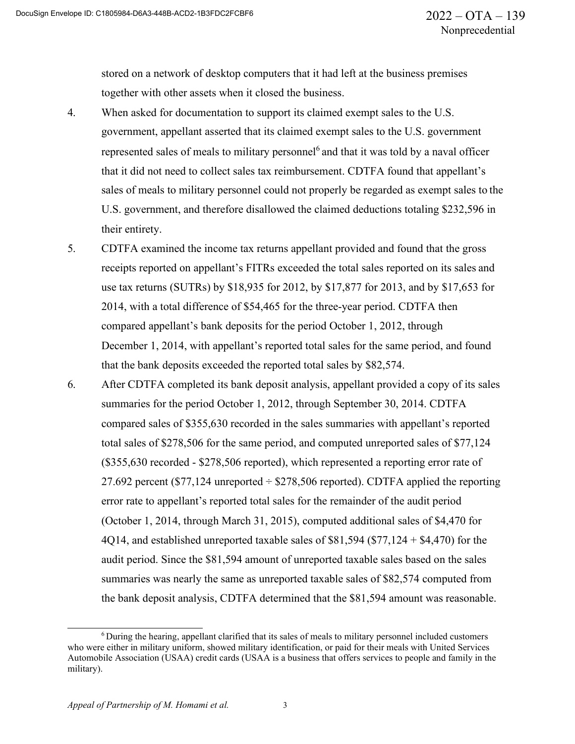stored on a network of desktop computers that it had left at the business premises together with other assets when it closed the business.

- 4. When asked for documentation to support its claimed exempt sales to the U.S. government, appellant asserted that its claimed exempt sales to the U.S. government represented sales of meals to military personnel<sup>6</sup> and that it was told by a naval officer that it did not need to collect sales tax reimbursement. CDTFA found that appellant's sales of meals to military personnel could not properly be regarded as exempt sales to the U.S. government, and therefore disallowed the claimed deductions totaling \$232,596 in their entirety.
- 5. CDTFA examined the income tax returns appellant provided and found that the gross receipts reported on appellant's FITRs exceeded the total sales reported on its sales and use tax returns (SUTRs) by \$18,935 for 2012, by \$17,877 for 2013, and by \$17,653 for 2014, with a total difference of \$54,465 for the three-year period. CDTFA then compared appellant's bank deposits for the period October 1, 2012, through December 1, 2014, with appellant's reported total sales for the same period, and found that the bank deposits exceeded the reported total sales by \$82,574.
- 6. After CDTFA completed its bank deposit analysis, appellant provided a copy of its sales summaries for the period October 1, 2012, through September 30, 2014. CDTFA compared sales of \$355,630 recorded in the sales summaries with appellant's reported total sales of \$278,506 for the same period, and computed unreported sales of \$77,124 (\$355,630 recorded - \$278,506 reported), which represented a reporting error rate of 27.692 percent (\$77,124 unreported  $\div$  \$278,506 reported). CDTFA applied the reporting error rate to appellant's reported total sales for the remainder of the audit period (October 1, 2014, through March 31, 2015), computed additional sales of \$4,470 for 4Q14, and established unreported taxable sales of \$81,594 (\$77,124 + \$4,470) for the audit period. Since the \$81,594 amount of unreported taxable sales based on the sales summaries was nearly the same as unreported taxable sales of \$82,574 computed from the bank deposit analysis, CDTFA determined that the \$81,594 amount was reasonable.

<sup>6</sup> During the hearing, appellant clarified that its sales of meals to military personnel included customers who were either in military uniform, showed military identification, or paid for their meals with United Services Automobile Association (USAA) credit cards (USAA is a business that offers services to people and family in the military).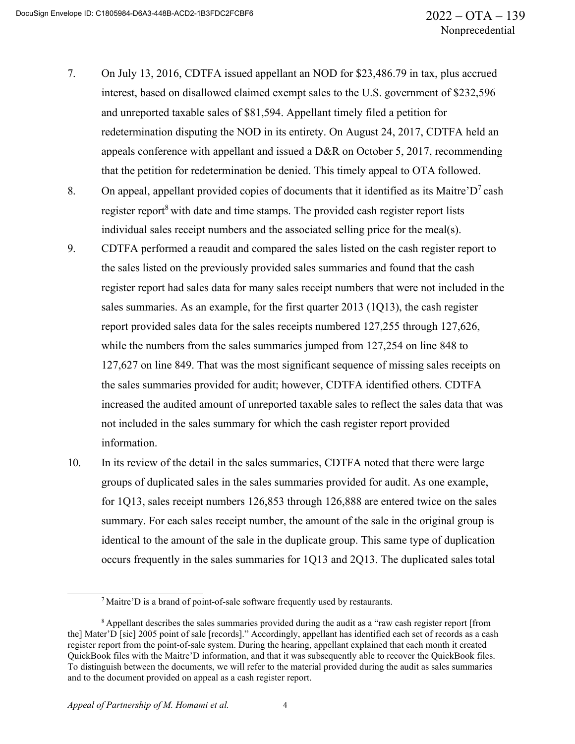- 7. On July 13, 2016, CDTFA issued appellant an NOD for \$23,486.79 in tax, plus accrued interest, based on disallowed claimed exempt sales to the U.S. government of \$232,596 and unreported taxable sales of \$81,594. Appellant timely filed a petition for redetermination disputing the NOD in its entirety. On August 24, 2017, CDTFA held an appeals conference with appellant and issued a D&R on October 5, 2017, recommending that the petition for redetermination be denied. This timely appeal to OTA followed.
- 8. On appeal, appellant provided copies of documents that it identified as its Maitre' $D^7$  cash register report<sup>8</sup> with date and time stamps. The provided cash register report lists individual sales receipt numbers and the associated selling price for the meal(s).
- 9. CDTFA performed a reaudit and compared the sales listed on the cash register report to the sales listed on the previously provided sales summaries and found that the cash register report had sales data for many sales receipt numbers that were not included in the sales summaries. As an example, for the first quarter 2013 (1Q13), the cash register report provided sales data for the sales receipts numbered 127,255 through 127,626, while the numbers from the sales summaries jumped from 127,254 on line 848 to 127,627 on line 849. That was the most significant sequence of missing sales receipts on the sales summaries provided for audit; however, CDTFA identified others. CDTFA increased the audited amount of unreported taxable sales to reflect the sales data that was not included in the sales summary for which the cash register report provided information.
- 10. In its review of the detail in the sales summaries, CDTFA noted that there were large groups of duplicated sales in the sales summaries provided for audit. As one example, for 1Q13, sales receipt numbers 126,853 through 126,888 are entered twice on the sales summary. For each sales receipt number, the amount of the sale in the original group is identical to the amount of the sale in the duplicate group. This same type of duplication occurs frequently in the sales summaries for 1Q13 and 2Q13. The duplicated sales total

<sup>7</sup> Maitre'D is a brand of point-of-sale software frequently used by restaurants.

<sup>&</sup>lt;sup>8</sup> Appellant describes the sales summaries provided during the audit as a "raw cash register report [from the] Mater'D [sic] 2005 point of sale [records]." Accordingly, appellant has identified each set of records as a cash register report from the point-of-sale system. During the hearing, appellant explained that each month it created QuickBook files with the Maitre'D information, and that it was subsequently able to recover the QuickBook files. To distinguish between the documents, we will refer to the material provided during the audit as sales summaries and to the document provided on appeal as a cash register report.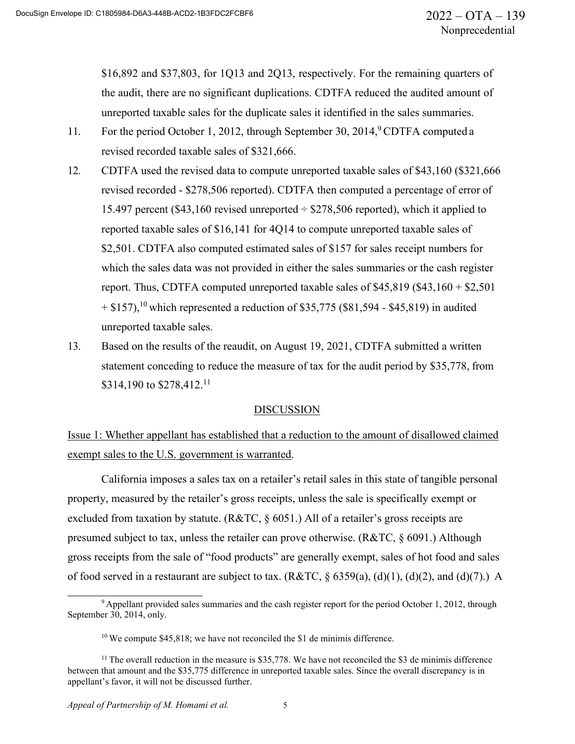\$16,892 and \$37,803, for 1Q13 and 2Q13, respectively. For the remaining quarters of the audit, there are no significant duplications. CDTFA reduced the audited amount of unreported taxable sales for the duplicate sales it identified in the sales summaries.

- 11. For the period October 1, 2012, through September 30, 2014, <sup>9</sup>CDTFA computed a revised recorded taxable sales of \$321,666.
- 12. CDTFA used the revised data to compute unreported taxable sales of \$43,160 (\$321,666 revised recorded - \$278,506 reported). CDTFA then computed a percentage of error of 15.497 percent (\$43,160 revised unreported  $\div$  \$278,506 reported), which it applied to reported taxable sales of \$16,141 for 4Q14 to compute unreported taxable sales of \$2,501. CDTFA also computed estimated sales of \$157 for sales receipt numbers for which the sales data was not provided in either the sales summaries or the cash register report. Thus, CDTFA computed unreported taxable sales of  $$45,819$  ( $$43,160 + $2,501$  $+ $157$ ),<sup>10</sup> which represented a reduction of \$35,775 (\$81,594 - \$45,819) in audited unreported taxable sales.
- 13. Based on the results of the reaudit, on August 19, 2021, CDTFA submitted a written statement conceding to reduce the measure of tax for the audit period by \$35,778, from \$314,190 to \$278,412.<sup>11</sup>

#### **DISCUSSION**

# Issue 1: Whether appellant has established that a reduction to the amount of disallowed claimed exempt sales to the U.S. government is warranted.

California imposes a sales tax on a retailer's retail sales in this state of tangible personal property, measured by the retailer's gross receipts, unless the sale is specifically exempt or excluded from taxation by statute. (R&TC, § 6051.) All of a retailer's gross receipts are presumed subject to tax, unless the retailer can prove otherwise. (R&TC, § 6091.) Although gross receipts from the sale of "food products" are generally exempt, sales of hot food and sales of food served in a restaurant are subject to tax. (R&TC,  $\S$  6359(a), (d)(1), (d)(2), and (d)(7).) A

<sup>&</sup>lt;sup>9</sup> Appellant provided sales summaries and the cash register report for the period October 1, 2012, through September 30, 2014, only.

 $10$  We compute \$45,818; we have not reconciled the \$1 de minimis difference.

 $11$  The overall reduction in the measure is \$35,778. We have not reconciled the \$3 de minimis difference between that amount and the \$35,775 difference in unreported taxable sales. Since the overall discrepancy is in appellant's favor, it will not be discussed further.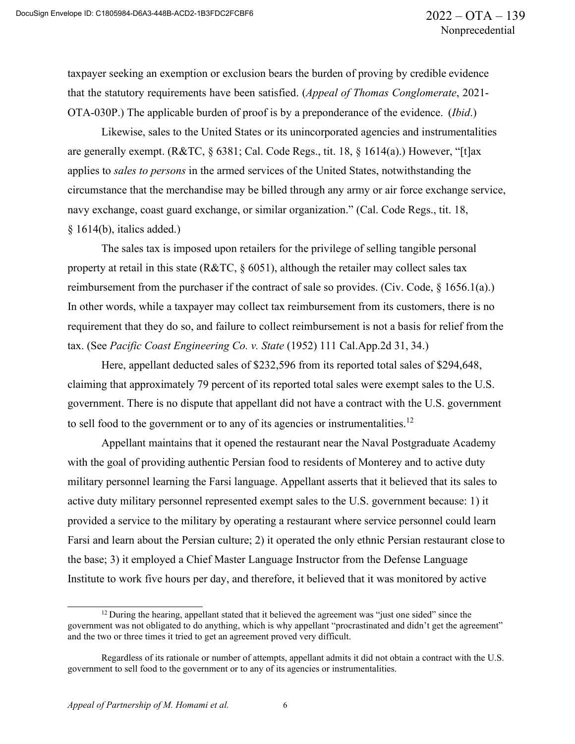taxpayer seeking an exemption or exclusion bears the burden of proving by credible evidence that the statutory requirements have been satisfied. (*Appeal of Thomas Conglomerate*, 2021- OTA-030P.) The applicable burden of proof is by a preponderance of the evidence. (*Ibid*.)

Likewise, sales to the United States or its unincorporated agencies and instrumentalities are generally exempt. (R&TC, § 6381; Cal. Code Regs., tit. 18, § 1614(a).) However, "[t]ax applies to *sales to persons* in the armed services of the United States, notwithstanding the circumstance that the merchandise may be billed through any army or air force exchange service, navy exchange, coast guard exchange, or similar organization." (Cal. Code Regs., tit. 18, § 1614(b), italics added.)

The sales tax is imposed upon retailers for the privilege of selling tangible personal property at retail in this state ( $R&TC, \S$  6051), although the retailer may collect sales tax reimbursement from the purchaser if the contract of sale so provides. (Civ. Code, § 1656.1(a).) In other words, while a taxpayer may collect tax reimbursement from its customers, there is no requirement that they do so, and failure to collect reimbursement is not a basis for relief from the tax. (See *Pacific Coast Engineering Co. v. State* (1952) 111 Cal.App.2d 31, 34.)

Here, appellant deducted sales of \$232,596 from its reported total sales of \$294,648, claiming that approximately 79 percent of its reported total sales were exempt sales to the U.S. government. There is no dispute that appellant did not have a contract with the U.S. government to sell food to the government or to any of its agencies or instrumentalities.<sup>12</sup>

Appellant maintains that it opened the restaurant near the Naval Postgraduate Academy with the goal of providing authentic Persian food to residents of Monterey and to active duty military personnel learning the Farsi language. Appellant asserts that it believed that its sales to active duty military personnel represented exempt sales to the U.S. government because: 1) it provided a service to the military by operating a restaurant where service personnel could learn Farsi and learn about the Persian culture; 2) it operated the only ethnic Persian restaurant close to the base; 3) it employed a Chief Master Language Instructor from the Defense Language Institute to work five hours per day, and therefore, it believed that it was monitored by active

<sup>&</sup>lt;sup>12</sup> During the hearing, appellant stated that it believed the agreement was "just one sided" since the government was not obligated to do anything, which is why appellant "procrastinated and didn't get the agreement" and the two or three times it tried to get an agreement proved very difficult.

Regardless of its rationale or number of attempts, appellant admits it did not obtain a contract with the U.S. government to sell food to the government or to any of its agencies or instrumentalities.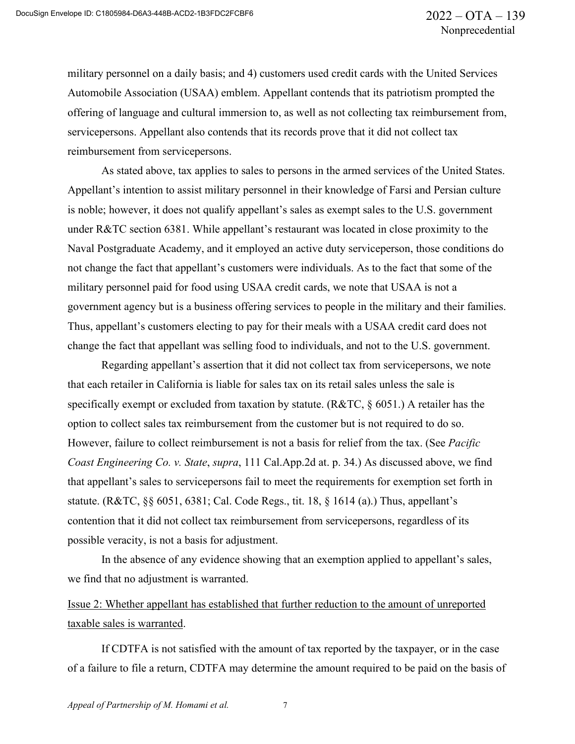military personnel on a daily basis; and 4) customers used credit cards with the United Services Automobile Association (USAA) emblem. Appellant contends that its patriotism prompted the offering of language and cultural immersion to, as well as not collecting tax reimbursement from, servicepersons. Appellant also contends that its records prove that it did not collect tax reimbursement from servicepersons.

As stated above, tax applies to sales to persons in the armed services of the United States. Appellant's intention to assist military personnel in their knowledge of Farsi and Persian culture is noble; however, it does not qualify appellant's sales as exempt sales to the U.S. government under R&TC section 6381. While appellant's restaurant was located in close proximity to the Naval Postgraduate Academy, and it employed an active duty serviceperson, those conditions do not change the fact that appellant's customers were individuals. As to the fact that some of the military personnel paid for food using USAA credit cards, we note that USAA is not a government agency but is a business offering services to people in the military and their families. Thus, appellant's customers electing to pay for their meals with a USAA credit card does not change the fact that appellant was selling food to individuals, and not to the U.S. government.

Regarding appellant's assertion that it did not collect tax from servicepersons, we note that each retailer in California is liable for sales tax on its retail sales unless the sale is specifically exempt or excluded from taxation by statute. ( $R&TC, \S$  6051.) A retailer has the option to collect sales tax reimbursement from the customer but is not required to do so. However, failure to collect reimbursement is not a basis for relief from the tax. (See *Pacific Coast Engineering Co. v. State*, *supra*, 111 Cal.App.2d at. p. 34.) As discussed above, we find that appellant's sales to servicepersons fail to meet the requirements for exemption set forth in statute. (R&TC, §§ 6051, 6381; Cal. Code Regs., tit. 18, § 1614 (a).) Thus, appellant's contention that it did not collect tax reimbursement from servicepersons, regardless of its possible veracity, is not a basis for adjustment.

In the absence of any evidence showing that an exemption applied to appellant's sales, we find that no adjustment is warranted.

# Issue 2: Whether appellant has established that further reduction to the amount of unreported taxable sales is warranted.

If CDTFA is not satisfied with the amount of tax reported by the taxpayer, or in the case of a failure to file a return, CDTFA may determine the amount required to be paid on the basis of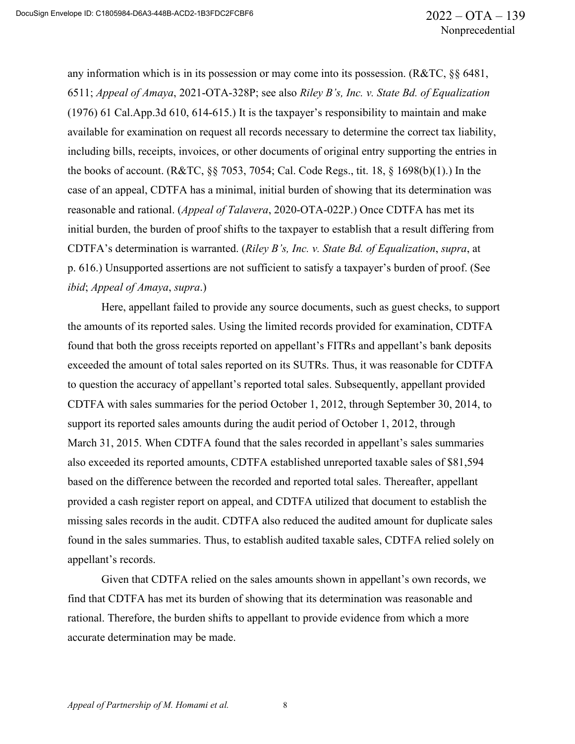any information which is in its possession or may come into its possession. (R&TC, §§ 6481, 6511; *Appeal of Amaya*, 2021-OTA-328P; see also *Riley B's, Inc. v. State Bd. of Equalization*  (1976) 61 Cal.App.3d 610, 614-615.) It is the taxpayer's responsibility to maintain and make available for examination on request all records necessary to determine the correct tax liability, including bills, receipts, invoices, or other documents of original entry supporting the entries in the books of account. (R&TC, §§ 7053, 7054; Cal. Code Regs., tit. 18, § 1698(b)(1).) In the case of an appeal, CDTFA has a minimal, initial burden of showing that its determination was reasonable and rational. (*Appeal of Talavera*, 2020-OTA-022P.) Once CDTFA has met its initial burden, the burden of proof shifts to the taxpayer to establish that a result differing from CDTFA's determination is warranted. (*Riley B's, Inc. v. State Bd. of Equalization*, *supra*, at p. 616.) Unsupported assertions are not sufficient to satisfy a taxpayer's burden of proof. (See *ibid*; *Appeal of Amaya*, *supra*.)

Here, appellant failed to provide any source documents, such as guest checks, to support the amounts of its reported sales. Using the limited records provided for examination, CDTFA found that both the gross receipts reported on appellant's FITRs and appellant's bank deposits exceeded the amount of total sales reported on its SUTRs. Thus, it was reasonable for CDTFA to question the accuracy of appellant's reported total sales. Subsequently, appellant provided CDTFA with sales summaries for the period October 1, 2012, through September 30, 2014, to support its reported sales amounts during the audit period of October 1, 2012, through March 31, 2015. When CDTFA found that the sales recorded in appellant's sales summaries also exceeded its reported amounts, CDTFA established unreported taxable sales of \$81,594 based on the difference between the recorded and reported total sales. Thereafter, appellant provided a cash register report on appeal, and CDTFA utilized that document to establish the missing sales records in the audit. CDTFA also reduced the audited amount for duplicate sales found in the sales summaries. Thus, to establish audited taxable sales, CDTFA relied solely on appellant's records.

Given that CDTFA relied on the sales amounts shown in appellant's own records, we find that CDTFA has met its burden of showing that its determination was reasonable and rational. Therefore, the burden shifts to appellant to provide evidence from which a more accurate determination may be made.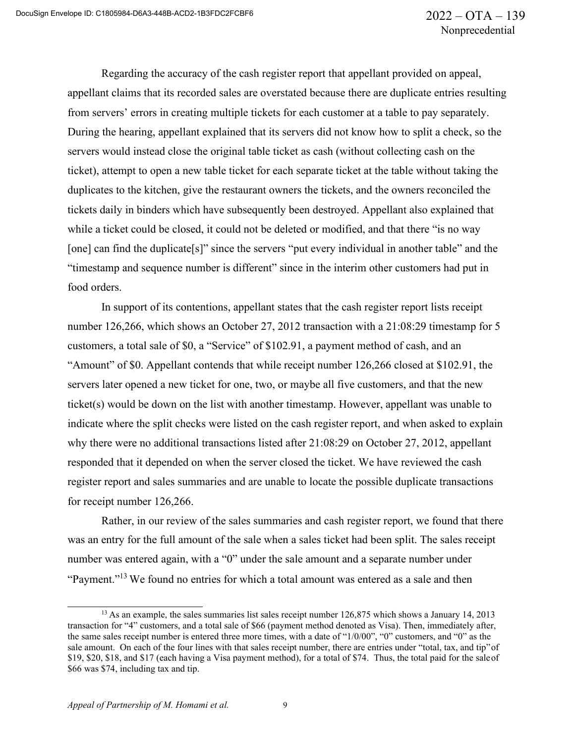Regarding the accuracy of the cash register report that appellant provided on appeal, appellant claims that its recorded sales are overstated because there are duplicate entries resulting from servers' errors in creating multiple tickets for each customer at a table to pay separately. During the hearing, appellant explained that its servers did not know how to split a check, so the servers would instead close the original table ticket as cash (without collecting cash on the ticket), attempt to open a new table ticket for each separate ticket at the table without taking the duplicates to the kitchen, give the restaurant owners the tickets, and the owners reconciled the tickets daily in binders which have subsequently been destroyed. Appellant also explained that while a ticket could be closed, it could not be deleted or modified, and that there "is no way [one] can find the duplicate<sup>[s]"</sup> since the servers "put every individual in another table" and the "timestamp and sequence number is different" since in the interim other customers had put in food orders.

In support of its contentions, appellant states that the cash register report lists receipt number 126,266, which shows an October 27, 2012 transaction with a 21:08:29 timestamp for 5 customers, a total sale of \$0, a "Service" of \$102.91, a payment method of cash, and an "Amount" of \$0. Appellant contends that while receipt number 126,266 closed at \$102.91, the servers later opened a new ticket for one, two, or maybe all five customers, and that the new ticket(s) would be down on the list with another timestamp. However, appellant was unable to indicate where the split checks were listed on the cash register report, and when asked to explain why there were no additional transactions listed after 21:08:29 on October 27, 2012, appellant responded that it depended on when the server closed the ticket. We have reviewed the cash register report and sales summaries and are unable to locate the possible duplicate transactions for receipt number 126,266.

Rather, in our review of the sales summaries and cash register report, we found that there was an entry for the full amount of the sale when a sales ticket had been split. The sales receipt number was entered again, with a "0" under the sale amount and a separate number under "Payment."<sup>13</sup> We found no entries for which a total amount was entered as a sale and then

<sup>&</sup>lt;sup>13</sup> As an example, the sales summaries list sales receipt number 126,875 which shows a January 14, 2013 transaction for "4" customers, and a total sale of \$66 (payment method denoted as Visa). Then, immediately after, the same sales receipt number is entered three more times, with a date of "1/0/00", "0" customers, and "0" as the sale amount. On each of the four lines with that sales receipt number, there are entries under "total, tax, and tip"of \$19, \$20, \$18, and \$17 (each having a Visa payment method), for a total of \$74. Thus, the total paid for the saleof \$66 was \$74, including tax and tip.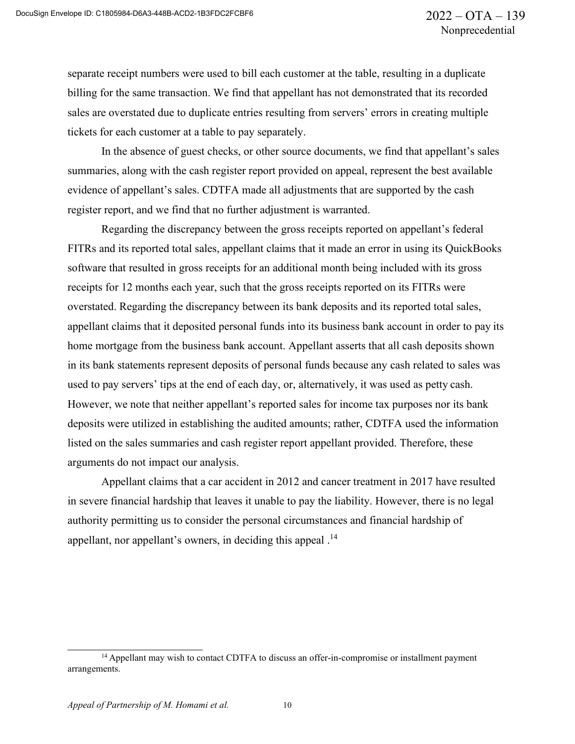separate receipt numbers were used to bill each customer at the table, resulting in a duplicate billing for the same transaction. We find that appellant has not demonstrated that its recorded sales are overstated due to duplicate entries resulting from servers' errors in creating multiple tickets for each customer at a table to pay separately.

In the absence of guest checks, or other source documents, we find that appellant's sales summaries, along with the cash register report provided on appeal, represent the best available evidence of appellant's sales. CDTFA made all adjustments that are supported by the cash register report, and we find that no further adjustment is warranted.

Regarding the discrepancy between the gross receipts reported on appellant's federal FITRs and its reported total sales, appellant claims that it made an error in using its QuickBooks software that resulted in gross receipts for an additional month being included with its gross receipts for 12 months each year, such that the gross receipts reported on its FITRs were overstated. Regarding the discrepancy between its bank deposits and its reported total sales, appellant claims that it deposited personal funds into its business bank account in order to pay its home mortgage from the business bank account. Appellant asserts that all cash deposits shown in its bank statements represent deposits of personal funds because any cash related to sales was used to pay servers' tips at the end of each day, or, alternatively, it was used as petty cash. However, we note that neither appellant's reported sales for income tax purposes nor its bank deposits were utilized in establishing the audited amounts; rather, CDTFA used the information listed on the sales summaries and cash register report appellant provided. Therefore, these arguments do not impact our analysis.

Appellant claims that a car accident in 2012 and cancer treatment in 2017 have resulted in severe financial hardship that leaves it unable to pay the liability. However, there is no legal authority permitting us to consider the personal circumstances and financial hardship of appellant, nor appellant's owners, in deciding this appeal.<sup>14</sup>

<sup>&</sup>lt;sup>14</sup> Appellant may wish to contact CDTFA to discuss an offer-in-compromise or installment payment arrangements.